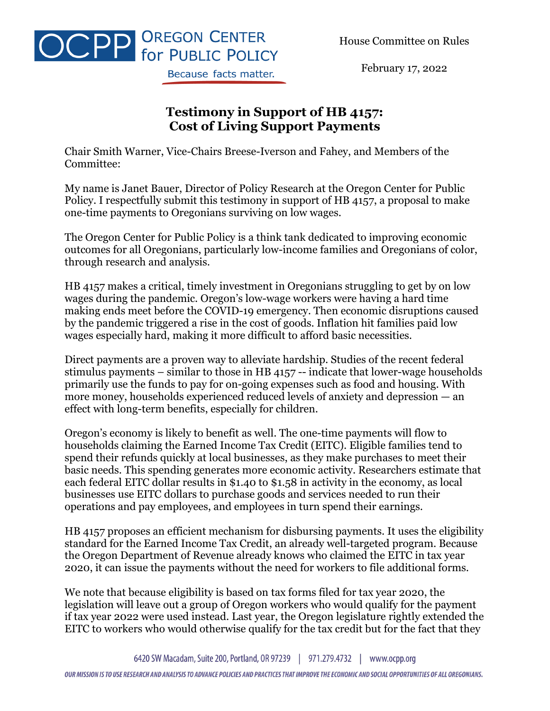House Committee on Rules



February 17, 2022

## **Testimony in Support of HB 4157: Cost of Living Support Payments**

Chair Smith Warner, Vice-Chairs Breese-Iverson and Fahey, and Members of the Committee:

My name is Janet Bauer, Director of Policy Research at the Oregon Center for Public Policy. I respectfully submit this testimony in support of HB 4157, a proposal to make one-time payments to Oregonians surviving on low wages.

The Oregon Center for Public Policy is a think tank dedicated to improving economic outcomes for all Oregonians, particularly low-income families and Oregonians of color, through research and analysis.

HB 4157 makes a critical, timely investment in Oregonians struggling to get by on low wages during the pandemic. Oregon's low-wage workers were having a hard time making ends meet before the COVID-19 emergency. Then economic disruptions caused by the pandemic triggered a rise in the cost of goods. Inflation hit families paid low wages especially hard, making it more difficult to afford basic necessities.

Direct payments are a proven way to alleviate hardship. Studies of the recent federal stimulus payments – similar to those in HB 4157 -- indicate that lower-wage households primarily use the funds to pay for on-going expenses such as food and housing. With more money, households experienced reduced levels of anxiety and depression — an effect with long-term benefits, especially for children.

Oregon's economy is likely to benefit as well. The one-time payments will flow to households claiming the Earned Income Tax Credit (EITC). Eligible families tend to spend their refunds quickly at local businesses, as they make purchases to meet their basic needs. This spending generates more economic activity. Researchers estimate that each federal EITC dollar results in \$1.40 to \$1.58 in activity in the economy, as local businesses use EITC dollars to purchase goods and services needed to run their operations and pay employees, and employees in turn spend their earnings.

HB 4157 proposes an efficient mechanism for disbursing payments. It uses the eligibility standard for the Earned Income Tax Credit, an already well-targeted program. Because the Oregon Department of Revenue already knows who claimed the EITC in tax year 2020, it can issue the payments without the need for workers to file additional forms.

We note that because eligibility is based on tax forms filed for tax year 2020, the legislation will leave out a group of Oregon workers who would qualify for the payment if tax year 2022 were used instead. Last year, the Oregon legislature rightly extended the EITC to workers who would otherwise qualify for the tax credit but for the fact that they